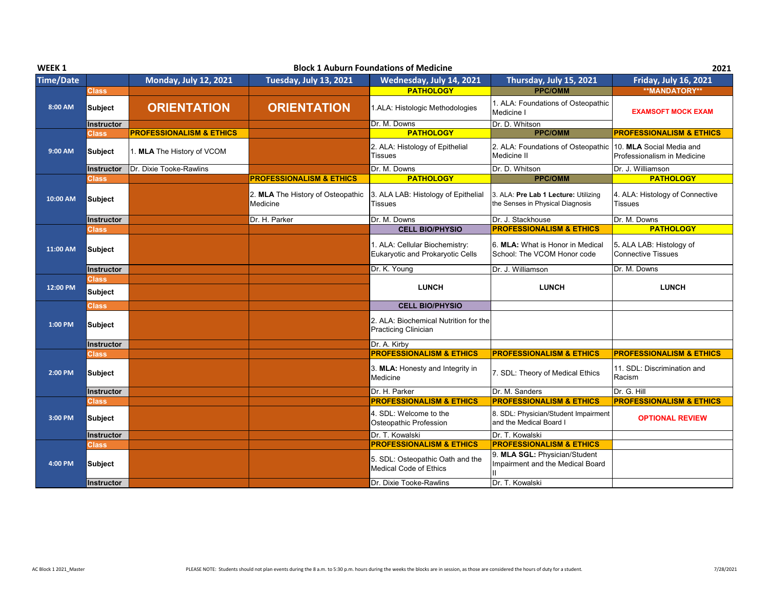| WEEK 1           |                         |                                     |                                               | <b>Block 1 Auburn Foundations of Medicine</b>                                                |                                                                                           | 2021                                                    |
|------------------|-------------------------|-------------------------------------|-----------------------------------------------|----------------------------------------------------------------------------------------------|-------------------------------------------------------------------------------------------|---------------------------------------------------------|
| <b>Time/Date</b> |                         | <b>Monday, July 12, 2021</b>        | <b>Tuesday, July 13, 2021</b>                 | Wednesday, July 14, 2021                                                                     | Thursday, July 15, 2021                                                                   | <b>Friday, July 16, 2021</b>                            |
|                  | <b>Class</b>            |                                     |                                               | <b>PATHOLOGY</b>                                                                             | <b>PPC/OMM</b>                                                                            | <b>**MANDATORY**</b>                                    |
| 8:00 AM          | Subject                 | <b>ORIENTATION</b>                  | <b>ORIENTATION</b>                            | 1.ALA: Histologic Methodologies                                                              | 1. ALA: Foundations of Osteopathic<br>Medicine I                                          | <b>EXAMSOFT MOCK EXAM</b>                               |
|                  | <b>Instructor</b>       |                                     |                                               | Dr. M. Downs                                                                                 | Dr. D. Whitson                                                                            |                                                         |
|                  | <b>Class</b>            | <b>PROFESSIONALISM &amp; ETHICS</b> |                                               | <b>PATHOLOGY</b>                                                                             | <b>PPC/OMM</b>                                                                            | <b>PROFESSIONALISM &amp; ETHICS</b>                     |
| 9:00 AM          | Subject                 | 1. MLA The History of VCOM          |                                               | 2. ALA: Histology of Epithelial<br><b>Tissues</b>                                            | 2. ALA: Foundations of Osteopathic<br>Medicine II                                         | 10. MLA Social Media and<br>Professionalism in Medicine |
|                  | Instructor              | Dr. Dixie Tooke-Rawlins             |                                               | Dr. M. Downs                                                                                 | Dr. D. Whitson                                                                            | Dr. J. Williamson                                       |
|                  | <b>Class</b>            |                                     | <b>PROFESSIONALISM &amp; ETHICS</b>           | <b>PATHOLOGY</b>                                                                             | <b>PPC/OMM</b>                                                                            | <b>PATHOLOGY</b>                                        |
| 10:00 AM         | Subject                 |                                     | 2. MLA The History of Osteopathic<br>Medicine | 3. ALA LAB: Histology of Epithelial<br>Tissues                                               | 3. ALA: Pre Lab 1 Lecture: Utilizing<br>the Senses in Physical Diagnosis                  | 4. ALA: Histology of Connective<br>Tissues              |
|                  | <b>Instructor</b>       |                                     | Dr. H. Parker                                 | Dr. M. Downs                                                                                 | Dr. J. Stackhouse                                                                         | Dr. M. Downs                                            |
|                  | <b>Class</b>            |                                     |                                               | <b>CELL BIO/PHYSIO</b>                                                                       | <b>PROFESSIONALISM &amp; ETHICS</b>                                                       | <b>PATHOLOGY</b>                                        |
| 11:00 AM         | <b>Subject</b>          |                                     |                                               | 1. ALA: Cellular Biochemistry:<br>Eukaryotic and Prokaryotic Cells                           | 6. MLA: What is Honor in Medical<br>School: The VCOM Honor code                           | 5. ALA LAB: Histology of<br><b>Connective Tissues</b>   |
|                  | <b>Instructor</b>       |                                     |                                               | Dr. K. Young                                                                                 | Dr. J. Williamson                                                                         | Dr. M. Downs                                            |
| 12:00 PM         | <b>Class</b><br>Subject |                                     |                                               | <b>LUNCH</b>                                                                                 | <b>LUNCH</b>                                                                              | <b>LUNCH</b>                                            |
|                  | <b>Class</b>            |                                     |                                               | <b>CELL BIO/PHYSIO</b>                                                                       |                                                                                           |                                                         |
| 1:00 PM          | Subject                 |                                     |                                               | 2. ALA: Biochemical Nutrition for the<br>Practicing Clinician                                |                                                                                           |                                                         |
|                  | <b>Instructor</b>       |                                     |                                               | Dr. A. Kirby                                                                                 |                                                                                           |                                                         |
|                  | <b>Class</b>            |                                     |                                               | <b>PROFESSIONALISM &amp; ETHICS</b>                                                          | <b>PROFESSIONALISM &amp; ETHICS</b>                                                       | <b>PROFESSIONALISM &amp; ETHICS</b>                     |
| 2:00 PM          |                         |                                     |                                               |                                                                                              |                                                                                           |                                                         |
|                  | <b>Subject</b>          |                                     |                                               | 3. MLA: Honesty and Integrity in<br>Medicine                                                 | 7. SDL: Theory of Medical Ethics                                                          | 11. SDL: Discrimination and<br>Racism                   |
|                  | <b>Instructor</b>       |                                     |                                               | Dr. H. Parker                                                                                | Dr. M. Sanders                                                                            | Dr. G. Hill                                             |
|                  | <b>Class</b>            |                                     |                                               | <b>PROFESSIONALISM &amp; ETHICS</b>                                                          | <b>PROFESSIONALISM &amp; ETHICS</b>                                                       | <b>PROFESSIONALISM &amp; ETHICS</b>                     |
| 3:00 PM          | <b>Subject</b>          |                                     |                                               | 4. SDL: Welcome to the<br>Osteopathic Profession                                             | 8. SDL: Physician/Student Impairment<br>and the Medical Board I                           | <b>OPTIONAL REVIEW</b>                                  |
|                  | <b>Instructor</b>       |                                     |                                               | Dr. T. Kowalski                                                                              | Dr. T. Kowalski                                                                           |                                                         |
|                  | <b>Class</b>            |                                     |                                               | <b>PROFESSIONALISM &amp; ETHICS</b>                                                          | <b>PROFESSIONALISM &amp; ETHICS</b>                                                       |                                                         |
| 4:00 PM          | <b>Subject</b>          |                                     |                                               | 5. SDL: Osteopathic Oath and the<br><b>Medical Code of Ethics</b><br>Dr. Dixie Tooke-Rawlins | 9. MLA SGL: Physician/Student<br>Impairment and the Medical Board<br>Ш<br>Dr. T. Kowalski |                                                         |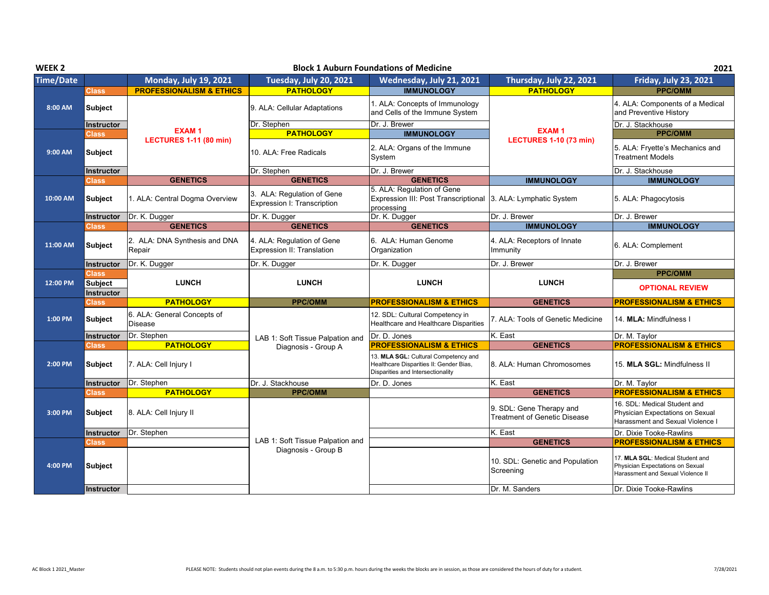| WEEK <sub>2</sub> |                                |                                                            |                                                           | <b>Block 1 Auburn Foundations of Medicine</b>                                                                        |                                                                | 2021                                                                                                      |
|-------------------|--------------------------------|------------------------------------------------------------|-----------------------------------------------------------|----------------------------------------------------------------------------------------------------------------------|----------------------------------------------------------------|-----------------------------------------------------------------------------------------------------------|
| <b>Time/Date</b>  |                                | <b>Monday, July 19, 2021</b>                               | <b>Tuesday, July 20, 2021</b>                             | Wednesday, July 21, 2021                                                                                             | Thursday, July 22, 2021                                        | <b>Friday, July 23, 2021</b>                                                                              |
|                   | <b>Class</b>                   | <b>PROFESSIONALISM &amp; ETHICS</b>                        | <b>PATHOLOGY</b>                                          | <b>IMMUNOLOGY</b>                                                                                                    | <b>PATHOLOGY</b>                                               | <b>PPC/OMM</b>                                                                                            |
| 8:00 AM           | <b>Subject</b>                 |                                                            | 9. ALA: Cellular Adaptations                              | 1. ALA: Concepts of Immunology<br>and Cells of the Immune System                                                     |                                                                | 4. ALA: Components of a Medical<br>and Preventive History                                                 |
|                   | Instructor                     |                                                            | Dr. Stephen                                               | Dr. J. Brewer                                                                                                        |                                                                | Dr. J. Stackhouse                                                                                         |
|                   | <b>Class</b>                   | <b>EXAM1</b><br><b>LECTURES 1-11 (80 min)</b>              | <b>PATHOLOGY</b>                                          | <b>IMMUNOLOGY</b>                                                                                                    | <b>EXAM1</b><br><b>LECTURES 1-10 (73 min)</b>                  | <b>PPC/OMM</b>                                                                                            |
| 9:00 AM           | <b>Subject</b>                 |                                                            | 10. ALA: Free Radicals                                    | 2. ALA: Organs of the Immune<br>System                                                                               |                                                                | 5. ALA: Fryette's Mechanics and<br><b>Treatment Models</b>                                                |
|                   | Instructor                     |                                                            | Dr. Stephen                                               | Dr. J. Brewer                                                                                                        |                                                                | Dr. J. Stackhouse                                                                                         |
|                   | <b>Class</b>                   | <b>GENETICS</b>                                            | <b>GENETICS</b>                                           | <b>GENETICS</b>                                                                                                      | <b>IMMUNOLOGY</b>                                              | <b>IMMUNOLOGY</b>                                                                                         |
| 10:00 AM          | <b>Subject</b>                 | 1. ALA: Central Dogma Overview                             | 3. ALA: Regulation of Gene<br>Expression I: Transcription | 5. ALA: Regulation of Gene<br>Expression III: Post Transcriptional<br>processing                                     | 3. ALA: Lymphatic System                                       | 5. ALA: Phagocytosis                                                                                      |
|                   | Instructor                     | Dr. K. Dugger                                              | Dr. K. Dugger                                             | Dr. K. Dugger                                                                                                        | Dr. J. Brewer                                                  | Dr. J. Brewer                                                                                             |
|                   | <b>Class</b>                   | <b>GENETICS</b>                                            | <b>GENETICS</b>                                           | <b>GENETICS</b>                                                                                                      | <b>IMMUNOLOGY</b>                                              | <b>IMMUNOLOGY</b>                                                                                         |
| 11:00 AM          | <b>Subject</b>                 | 2. ALA: DNA Synthesis and DNA<br>Repair                    | 4. ALA: Regulation of Gene<br>Expression II: Translation  | 6. ALA: Human Genome<br>Organization                                                                                 | 4. ALA: Receptors of Innate<br>Immunity                        | 6. ALA: Complement                                                                                        |
|                   | Instructor                     | Dr. K. Dugger                                              | Dr. K. Dugger                                             | Dr. K. Dugger                                                                                                        | Dr. J. Brewer                                                  | Dr. J. Brewer                                                                                             |
| 12:00 PM          | Class.<br><b>Subject</b>       | <b>LUNCH</b>                                               | <b>LUNCH</b>                                              | <b>LUNCH</b>                                                                                                         | <b>LUNCH</b>                                                   | <b>PPC/OMM</b>                                                                                            |
|                   |                                |                                                            |                                                           |                                                                                                                      |                                                                | <b>OPTIONAL REVIEW</b>                                                                                    |
|                   | <b>Instructor</b>              |                                                            |                                                           |                                                                                                                      |                                                                |                                                                                                           |
| 1:00 PM           | <b>Class</b><br><b>Subject</b> | <b>PATHOLOGY</b><br>6. ALA: General Concepts of<br>Disease | <b>PPC/OMM</b>                                            | <b>PROFESSIONALISM &amp; ETHICS</b><br>12. SDL: Cultural Competency in<br>Healthcare and Healthcare Disparities      | <b>GENETICS</b><br>7. ALA: Tools of Genetic Medicine           | <b>PROFESSIONALISM &amp; ETHICS</b><br>14. MLA: Mindfulness I                                             |
|                   | Instructor                     | Dr. Stephen                                                |                                                           | Dr. D. Jones                                                                                                         | K. East                                                        | Dr. M. Taylor                                                                                             |
|                   | Class                          | <b>PATHOLOGY</b>                                           | LAB 1: Soft Tissue Palpation and                          | <b>PROFESSIONALISM &amp; ETHICS</b>                                                                                  | <b>GENETICS</b>                                                | <b>PROFESSIONALISM &amp; ETHICS</b>                                                                       |
| 2:00 PM           | <b>Subject</b>                 | 7. ALA: Cell Injury I                                      | Diagnosis - Group A                                       | 13. MLA SGL: Cultural Competency and<br>Healthcare Disparities II: Gender Bias,<br>Disparities and Intersectionality | 8. ALA: Human Chromosomes                                      | 15. MLA SGL: Mindfulness II                                                                               |
|                   | Instructor                     | Dr. Stephen                                                | Dr. J. Stackhouse                                         | Dr. D. Jones                                                                                                         | K. East                                                        | Dr. M. Taylor                                                                                             |
|                   | <b>Class</b>                   | <b>PATHOLOGY</b>                                           | <b>PPC/OMM</b>                                            |                                                                                                                      | <b>GENETICS</b>                                                | <b>PROFESSIONALISM &amp; ETHICS</b>                                                                       |
| 3:00 PM           | <b>Subject</b>                 | 8. ALA: Cell Injury II                                     |                                                           |                                                                                                                      | 9. SDL: Gene Therapy and<br>Treatment of Genetic Disease       | 16. SDL: Medical Student and<br>Physician Expectations on Sexual<br>Harassment and Sexual Violence I      |
|                   | Instructor                     | Dr. Stephen                                                |                                                           |                                                                                                                      | K. East                                                        | Dr. Dixie Tooke-Rawlins                                                                                   |
|                   | <b>Class</b>                   |                                                            | LAB 1: Soft Tissue Palpation and                          |                                                                                                                      | <b>GENETICS</b>                                                | <b>PROFESSIONALISM &amp; ETHICS</b>                                                                       |
| 4:00 PM           | <b>Subject</b>                 |                                                            | Diagnosis - Group B                                       |                                                                                                                      | 10. SDL: Genetic and Population<br>Screening<br>Dr. M. Sanders | 17. MLA SGL: Medical Student and<br>Physician Expectations on Sexual<br>Harassment and Sexual Violence II |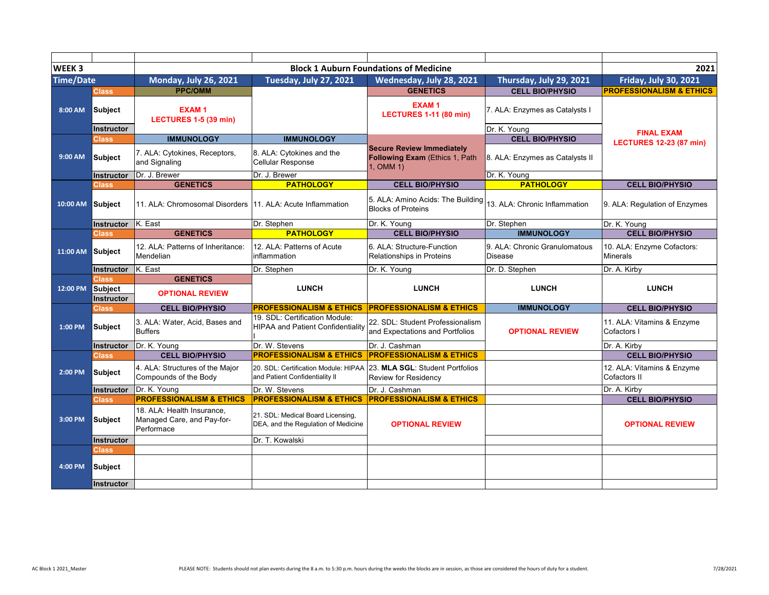| <b>WEEK3</b>     |                                              |                                                                        |                                                                            | <b>Block 1 Auburn Foundations of Medicine</b>                                       |                                                           | 2021                                          |
|------------------|----------------------------------------------|------------------------------------------------------------------------|----------------------------------------------------------------------------|-------------------------------------------------------------------------------------|-----------------------------------------------------------|-----------------------------------------------|
| <b>Time/Date</b> |                                              | <b>Monday, July 26, 2021</b>                                           | <b>Tuesday, July 27, 2021</b>                                              | Wednesday, July 28, 2021                                                            | Thursday, July 29, 2021                                   | <b>Friday, July 30, 2021</b>                  |
|                  | <b>Class</b>                                 | <b>PPC/OMM</b>                                                         |                                                                            | <b>GENETICS</b>                                                                     | <b>CELL BIO/PHYSIO</b>                                    | <b>PROFESSIONALISM &amp; ETHICS</b>           |
| 8:00 AM          | Subject                                      | <b>EXAM1</b><br>LECTURES 1-5 (39 min)                                  |                                                                            | <b>EXAM1</b><br><b>LECTURES 1-11 (80 min)</b>                                       | 7. ALA: Enzymes as Catalysts I                            |                                               |
|                  | Instructor                                   |                                                                        |                                                                            |                                                                                     | Dr. K. Young                                              | <b>FINAL EXAM</b>                             |
| 9:00 AM          | Class<br>Subject                             | <b>IMMUNOLOGY</b><br>7. ALA: Cytokines, Receptors,<br>and Signaling    | <b>IMMUNOLOGY</b><br>8. ALA: Cytokines and the<br>Cellular Response        | <b>Secure Review Immediately</b><br>Following Exam (Ethics 1, Path<br>$1,$ OMM $1)$ | <b>CELL BIO/PHYSIO</b><br>8. ALA: Enzymes as Catalysts II | <b>LECTURES 12-23 (87 min)</b>                |
|                  | Instructor                                   | Dr. J. Brewer                                                          | Dr. J. Brewer                                                              |                                                                                     | Dr. K. Young                                              |                                               |
|                  | Class                                        | <b>GENETICS</b>                                                        | <b>PATHOLOGY</b>                                                           | <b>CELL BIO/PHYSIO</b>                                                              | <b>PATHOLOGY</b>                                          | <b>CELL BIO/PHYSIO</b>                        |
| 10:00 AM Subject |                                              | 11. ALA: Chromosomal Disorders                                         | 11. ALA: Acute Inflammation                                                | 5. ALA: Amino Acids: The Building<br><b>Blocks of Proteins</b>                      | 13. ALA: Chronic Inflammation                             | 9. ALA: Regulation of Enzymes                 |
|                  | Instructor                                   | K. East                                                                | Dr. Stephen                                                                | Dr. K. Young                                                                        | Dr. Stephen                                               | Dr. K. Young                                  |
|                  | <b>Class</b>                                 | <b>GENETICS</b>                                                        | <b>PATHOLOGY</b>                                                           | <b>CELL BIO/PHYSIO</b>                                                              | <b>IMMUNOLOGY</b>                                         | <b>CELL BIO/PHYSIO</b>                        |
| 11:00 AM         | Subject                                      | 12. ALA: Patterns of Inheritance:<br>Mendelian                         | 12. ALA: Patterns of Acute<br>inflammation                                 | 6. ALA: Structure-Function<br>Relationships in Proteins                             | 9. ALA: Chronic Granulomatous<br><b>Disease</b>           | 10. ALA: Enzyme Cofactors:<br><b>Minerals</b> |
|                  | <b>Instructor</b>                            | K. East                                                                | Dr. Stephen                                                                | Dr. K. Young                                                                        | Dr. D. Stephen                                            | Dr. A. Kirby                                  |
| 12:00 PM         | <b>Class</b><br>Subject<br><b>Instructor</b> | <b>GENETICS</b><br><b>OPTIONAL REVIEW</b>                              | <b>LUNCH</b>                                                               | <b>LUNCH</b>                                                                        | <b>LUNCH</b>                                              | <b>LUNCH</b>                                  |
|                  | Class                                        | <b>CELL BIO/PHYSIO</b>                                                 | <b>PROFESSIONALISM &amp; ETHICS</b>                                        | <b>PROFESSIONALISM &amp; ETHICS</b>                                                 | <b>IMMUNOLOGY</b>                                         | <b>CELL BIO/PHYSIO</b>                        |
| 1:00 PM          | Subject                                      | 3. ALA: Water, Acid, Bases and<br><b>Buffers</b>                       | 19. SDL: Certification Module:<br><b>HIPAA and Patient Confidentiality</b> | 22. SDL: Student Professionalism<br>and Expectations and Portfolios                 | <b>OPTIONAL REVIEW</b>                                    | 11. ALA: Vitamins & Enzyme<br>Cofactors I     |
|                  | <b>Instructor</b>                            | Dr. K. Young                                                           | Dr. W. Stevens                                                             | Dr. J. Cashman                                                                      |                                                           | Dr. A. Kirby                                  |
|                  | <b>Class</b>                                 | <b>CELL BIO/PHYSIO</b>                                                 | <b>PROFESSIONALISM &amp; ETHICS</b>                                        | <b>PROFESSIONALISM &amp; ETHICS</b>                                                 |                                                           | <b>CELL BIO/PHYSIO</b>                        |
| 2:00 PM          | Subject                                      | 4. ALA: Structures of the Major<br>Compounds of the Body               | 20. SDL: Certification Module: HIPAA<br>and Patient Confidentiality II     | 23. MLA SGL: Student Portfolios<br>Review for Residency                             |                                                           | 12. ALA: Vitamins & Enzyme<br>Cofactors II    |
|                  | <b>Instructor</b>                            | Dr. K. Young                                                           | Dr. W. Stevens                                                             | Dr. J. Cashman                                                                      |                                                           | Dr. A. Kirby                                  |
|                  | <b>Class</b>                                 | <b>PROFESSIONALISM &amp; ETHICS</b>                                    | <b>PROFESSIONALISM &amp; ETHICS</b>                                        | <b>PROFESSIONALISM &amp; ETHICS</b>                                                 |                                                           | <b>CELL BIO/PHYSIO</b>                        |
| 3:00 PM          | Subject                                      | 18. ALA: Health Insurance,<br>Managed Care, and Pay-for-<br>Performace | 21. SDL: Medical Board Licensing,<br>DEA, and the Regulation of Medicine   | <b>OPTIONAL REVIEW</b>                                                              |                                                           | <b>OPTIONAL REVIEW</b>                        |
|                  | Instructor                                   |                                                                        | Dr. T. Kowalski                                                            |                                                                                     |                                                           |                                               |
|                  | <b>Class</b>                                 |                                                                        |                                                                            |                                                                                     |                                                           |                                               |
| 4:00 PM          | Subject                                      |                                                                        |                                                                            |                                                                                     |                                                           |                                               |
|                  | <b>Instructor</b>                            |                                                                        |                                                                            |                                                                                     |                                                           |                                               |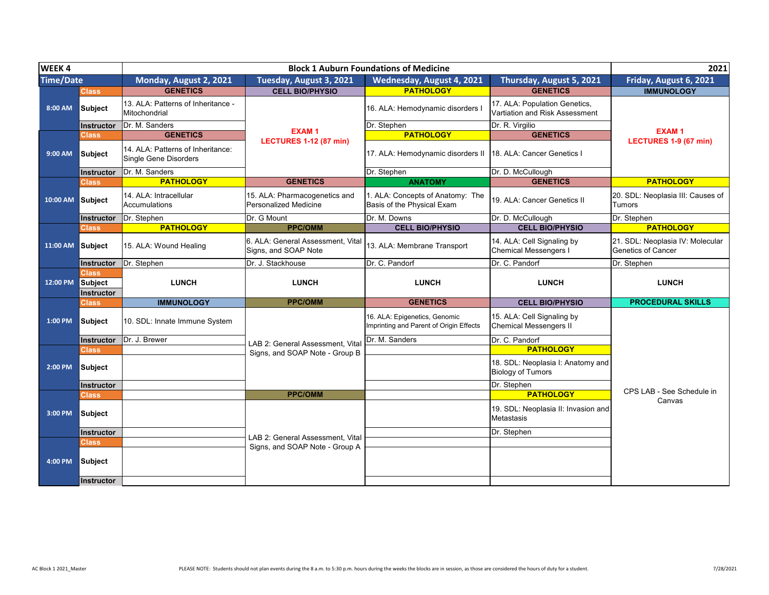| <b>WEEK4</b>     |                   |                                                                   | 2021                                                          |                                                                |                                                                 |                                                               |
|------------------|-------------------|-------------------------------------------------------------------|---------------------------------------------------------------|----------------------------------------------------------------|-----------------------------------------------------------------|---------------------------------------------------------------|
| <b>Time/Date</b> |                   | Monday, August 2, 2021                                            | Tuesday, August 3, 2021                                       | Wednesday, August 4, 2021                                      | <b>Thursday, August 5, 2021</b>                                 | Friday, August 6, 2021                                        |
|                  | <b>Class</b>      | <b>GENETICS</b>                                                   | <b>CELL BIO/PHYSIO</b>                                        | <b>PATHOLOGY</b>                                               | <b>GENETICS</b>                                                 | <b>IMMUNOLOGY</b>                                             |
| 8:00 AM          | <b>Subject</b>    | 13. ALA: Patterns of Inheritance -<br>Mitochondrial               |                                                               | 16. ALA: Hemodynamic disorders I                               | 17. ALA: Population Genetics.<br>Vartiation and Risk Assessment |                                                               |
|                  | <b>Instructor</b> | Dr. M. Sanders                                                    |                                                               | Dr. Stephen                                                    | Dr. R. Virgilio                                                 |                                                               |
| 9:00 AM          | <b>Class</b>      | <b>GENETICS</b>                                                   | <b>EXAM1</b>                                                  | <b>PATHOLOGY</b>                                               | <b>GENETICS</b>                                                 | <b>EXAM1</b>                                                  |
|                  | <b>Subject</b>    | 14. ALA: Patterns of Inheritance:<br><b>Single Gene Disorders</b> | <b>LECTURES 1-12 (87 min)</b>                                 | 17. ALA: Hemodynamic disorders II                              | 18. ALA: Cancer Genetics I                                      | LECTURES 1-9 (67 min)                                         |
|                  | Instructor        | Dr. M. Sanders                                                    |                                                               | Dr. Stephen                                                    | Dr. D. McCullough                                               |                                                               |
|                  | <b>Class</b>      | <b>PATHOLOGY</b>                                                  | <b>GENETICS</b>                                               | <b>ANATOMY</b>                                                 | <b>GENETICS</b>                                                 | <b>PATHOLOGY</b>                                              |
| 10:00 AM         | Subject           | 14. ALA: Intracellular<br><b>Accumulations</b>                    | 15. ALA: Pharmacogenetics and<br><b>Personalized Medicine</b> | 1. ALA: Concepts of Anatomy: The<br>Basis of the Physical Exam | 19. ALA: Cancer Genetics II                                     | 20. SDL: Neoplasia III: Causes of<br><b>Tumors</b>            |
|                  | Instructor        | Dr. Stephen                                                       | Dr. G Mount                                                   | Dr. M. Downs                                                   | Dr. D. McCullough                                               | Dr. Stephen                                                   |
|                  | <b>Class</b>      | <b>PATHOLOGY</b>                                                  | <b>PPC/OMM</b>                                                | <b>CELL BIO/PHYSIO</b>                                         | <b>CELL BIO/PHYSIO</b>                                          | <b>PATHOLOGY</b>                                              |
| 11:00 AM         | Subject           | 15. ALA: Wound Healing                                            | 6. ALA: General Assessment. Vital<br>Signs, and SOAP Note     | 13. ALA: Membrane Transport                                    | 14. ALA: Cell Signaling by<br>Chemical Messengers I             | 21. SDL: Neoplasia IV: Molecular<br><b>Genetics of Cancer</b> |
|                  | Instructor        | Dr. Stephen                                                       | Dr. J. Stackhouse                                             | Dr. C. Pandorf                                                 | Dr. C. Pandorf                                                  | Dr. Stephen                                                   |
|                  | <b>Class</b>      |                                                                   |                                                               |                                                                |                                                                 |                                                               |
| 12:00 PM         | Subject           | <b>LUNCH</b>                                                      | <b>LUNCH</b>                                                  | <b>LUNCH</b>                                                   | <b>LUNCH</b>                                                    | <b>LUNCH</b>                                                  |
|                  | Instructor        | <b>IMMUNOLOGY</b>                                                 | <b>PPC/OMM</b>                                                | <b>GENETICS</b>                                                | <b>CELL BIO/PHYSIO</b>                                          | <b>PROCEDURAL SKILLS</b>                                      |
|                  | Class             |                                                                   |                                                               |                                                                |                                                                 |                                                               |
| 1:00 PM          | <b>Subject</b>    | 10. SDL: Innate Immune System                                     |                                                               | 16. ALA: Epigenetics, Genomic                                  | 15. ALA: Cell Signaling by                                      |                                                               |
|                  |                   |                                                                   |                                                               | Imprinting and Parent of Origin Effects                        | <b>Chemical Messengers II</b>                                   |                                                               |
|                  | <b>Instructor</b> | Dr. J. Brewer                                                     |                                                               | Dr. M. Sanders                                                 | Dr. C. Pandorf                                                  |                                                               |
|                  | <b>Class</b>      |                                                                   | LAB 2: General Assessment. Vital                              |                                                                | <b>PATHOLOGY</b>                                                |                                                               |
| 2:00 PM          | <b>Subject</b>    |                                                                   | Signs, and SOAP Note - Group B                                |                                                                | 18. SDL: Neoplasia I: Anatomy and<br><b>Biology of Tumors</b>   |                                                               |
|                  | Instructor        |                                                                   |                                                               |                                                                | Dr. Stephen                                                     |                                                               |
|                  | Class             |                                                                   | <b>PPC/OMM</b>                                                |                                                                | <b>PATHOLOGY</b>                                                | CPS LAB - See Schedule in                                     |
| 3:00 PM          | <b>Subject</b>    |                                                                   |                                                               |                                                                | 19. SDL: Neoplasia II: Invasion and<br><b>Metastasis</b>        | Canvas                                                        |
|                  | Instructor        |                                                                   |                                                               |                                                                | Dr. Stephen                                                     |                                                               |
|                  | Class             |                                                                   | LAB 2: General Assessment. Vital                              |                                                                |                                                                 |                                                               |
| 4:00 PM          | <b>Subject</b>    |                                                                   | Signs, and SOAP Note - Group A                                |                                                                |                                                                 |                                                               |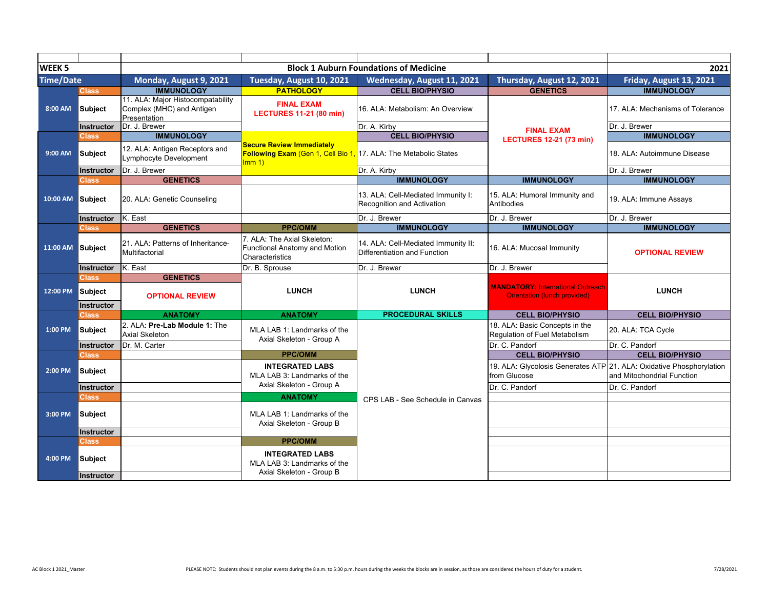| <b>WEEK 5</b>    |                              |                                                                                |                                                                                             | <b>Block 1 Auburn Foundations of Medicine</b>                       |                                                                          | 2021                                                                                               |
|------------------|------------------------------|--------------------------------------------------------------------------------|---------------------------------------------------------------------------------------------|---------------------------------------------------------------------|--------------------------------------------------------------------------|----------------------------------------------------------------------------------------------------|
| <b>Time/Date</b> |                              | Monday, August 9, 2021                                                         | Tuesday, August 10, 2021                                                                    | Wednesday, August 11, 2021                                          | Thursday, August 12, 2021                                                | Friday, August 13, 2021                                                                            |
|                  | <b>Class</b>                 | <b>IMMUNOLOGY</b>                                                              | <b>PATHOLOGY</b>                                                                            | <b>CELL BIO/PHYSIO</b>                                              | <b>GENETICS</b>                                                          | <b>IMMUNOLOGY</b>                                                                                  |
| 8:00 AM          | Subject                      | 11. ALA: Major Histocompatability<br>Complex (MHC) and Antigen<br>Presentation | <b>FINAL EXAM</b><br><b>LECTURES 11-21 (80 min)</b>                                         | 16. ALA: Metabolism: An Overview                                    |                                                                          | 17. ALA: Mechanisms of Tolerance                                                                   |
|                  | Instructor                   | Dr. J. Brewer                                                                  |                                                                                             | Dr. A. Kirby                                                        | <b>FINAL EXAM</b>                                                        | Dr. J. Brewer                                                                                      |
|                  | <b>Class</b>                 | <b>IMMUNOLOGY</b>                                                              |                                                                                             | <b>CELL BIO/PHYSIO</b>                                              | <b>LECTURES 12-21 (73 min)</b>                                           | <b>IMMUNOLOGY</b>                                                                                  |
| 9:00 AM          | Subject                      | 12. ALA: Antigen Receptors and<br>Lymphocyte Development                       | <b>Secure Review Immediately</b><br>Following Exam (Gen 1, Cell Bio 1,<br>$\mathsf{Imm}\,1$ | 17. ALA: The Metabolic States                                       |                                                                          | 18. ALA: Autoimmune Disease                                                                        |
|                  | Instructor                   | Dr. J. Brewer                                                                  |                                                                                             | Dr. A. Kirby                                                        |                                                                          | Dr. J. Brewer                                                                                      |
|                  | Class                        | <b>GENETICS</b>                                                                |                                                                                             | <b>IMMUNOLOGY</b>                                                   | <b>IMMUNOLOGY</b>                                                        | <b>IMMUNOLOGY</b>                                                                                  |
| 10:00 AM         | Subject                      | 20. ALA: Genetic Counseling                                                    |                                                                                             | 13. ALA: Cell-Mediated Immunity I:<br>Recognition and Activation    | 15. ALA: Humoral Immunity and<br>Antibodies                              | 19. ALA: Immune Assays                                                                             |
|                  | Instructor                   | K. East                                                                        |                                                                                             | Dr. J. Brewer                                                       | Dr. J. Brewer                                                            | Dr. J. Brewer                                                                                      |
|                  | <b>Class</b>                 | <b>GENETICS</b>                                                                | <b>PPC/OMM</b>                                                                              | <b>IMMUNOLOGY</b>                                                   | <b>IMMUNOLOGY</b>                                                        | <b>IMMUNOLOGY</b>                                                                                  |
| 11:00 AM         | <b>Subject</b>               | 21. ALA: Patterns of Inheritance-<br>Multifactorial                            | 7. ALA: The Axial Skeleton:<br><b>Functional Anatomy and Motion</b><br>Characteristics      | 14. ALA: Cell-Mediated Immunity II:<br>Differentiation and Function | 16. ALA: Mucosal Immunity                                                | <b>OPTIONAL REVIEW</b>                                                                             |
|                  | Instructor                   | K. East                                                                        | Dr. B. Sprouse                                                                              | Dr. J. Brewer                                                       | Dr. J. Brewer                                                            |                                                                                                    |
|                  | <b>Class</b>                 | <b>GENETICS</b>                                                                |                                                                                             |                                                                     |                                                                          |                                                                                                    |
| 12:00 PM         | Subject<br><b>Instructor</b> | <b>OPTIONAL REVIEW</b>                                                         | <b>LUNCH</b>                                                                                | <b>LUNCH</b>                                                        | <b>MANDATORY: International Outreach</b><br>Orientation (lunch provided) | <b>LUNCH</b>                                                                                       |
|                  | <b>Class</b>                 | <b>ANATOMY</b>                                                                 | <b>ANATOMY</b>                                                                              | <b>PROCEDURAL SKILLS</b>                                            | <b>CELL BIO/PHYSIO</b>                                                   | <b>CELL BIO/PHYSIO</b>                                                                             |
| 1:00 PM          | <b>Subject</b>               | 2. ALA: Pre-Lab Module 1: The<br>Axial Skeleton                                | MLA LAB 1: Landmarks of the<br>Axial Skeleton - Group A                                     |                                                                     | 18. ALA: Basic Concepts in the<br>Regulation of Fuel Metabolism          | 20. ALA: TCA Cycle                                                                                 |
|                  | Instructor                   | Dr. M. Carter                                                                  |                                                                                             |                                                                     | Dr. C. Pandorf                                                           | Dr. C. Pandorf                                                                                     |
|                  | <b>Class</b>                 |                                                                                | <b>PPC/OMM</b>                                                                              |                                                                     | <b>CELL BIO/PHYSIO</b>                                                   | <b>CELL BIO/PHYSIO</b>                                                                             |
| 2:00 PM          | <b>Subject</b>               |                                                                                | <b>INTEGRATED LABS</b><br>MLA LAB 3: Landmarks of the                                       |                                                                     | from Glucose                                                             | 19. ALA: Glycolosis Generates ATP 21. ALA: Oxidative Phosphorylation<br>and Mitochondrial Function |
|                  | Instructor                   |                                                                                | Axial Skeleton - Group A                                                                    |                                                                     | Dr. C. Pandorf                                                           | Dr. C. Pandorf                                                                                     |
|                  | <b>Class</b>                 |                                                                                | <b>ANATOMY</b>                                                                              | CPS LAB - See Schedule in Canvas                                    |                                                                          |                                                                                                    |
| 3:00 PM          | Subject                      |                                                                                | MLA LAB 1: Landmarks of the<br>Axial Skeleton - Group B                                     |                                                                     |                                                                          |                                                                                                    |
|                  | Instructor                   |                                                                                |                                                                                             |                                                                     |                                                                          |                                                                                                    |
|                  | <b>Class</b>                 |                                                                                | <b>PPC/OMM</b>                                                                              |                                                                     |                                                                          |                                                                                                    |
| 4:00 PM          | <b>Subject</b>               |                                                                                | <b>INTEGRATED LABS</b><br>MLA LAB 3: Landmarks of the                                       |                                                                     |                                                                          |                                                                                                    |
|                  | Instructor                   |                                                                                | Axial Skeleton - Group B                                                                    |                                                                     |                                                                          |                                                                                                    |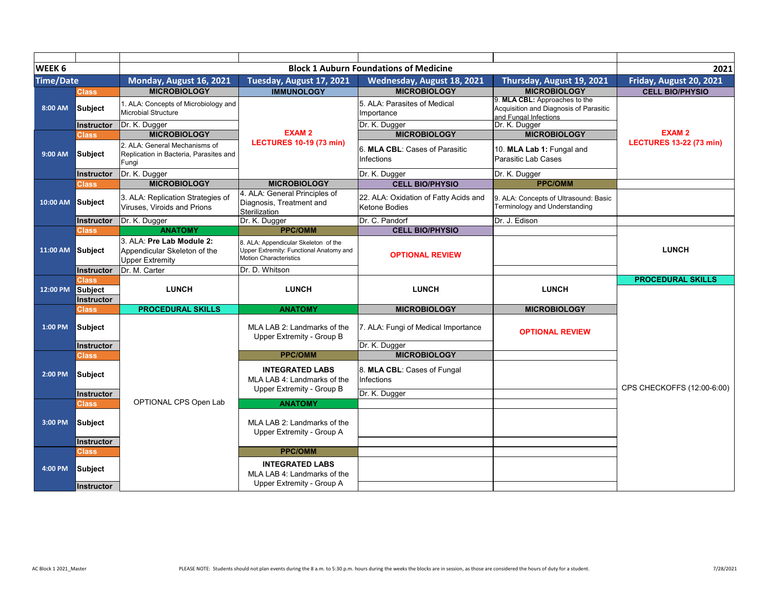| WEEK 6           |                |                                                                                     |                                                                                                                  | <b>Block 1 Auburn Foundations of Medicine</b>          |                                                                                                  | 2021                           |
|------------------|----------------|-------------------------------------------------------------------------------------|------------------------------------------------------------------------------------------------------------------|--------------------------------------------------------|--------------------------------------------------------------------------------------------------|--------------------------------|
| <b>Time/Date</b> |                | Monday, August 16, 2021                                                             | Tuesday, August 17, 2021                                                                                         | Wednesday, August 18, 2021                             | Thursday, August 19, 2021                                                                        | Friday, August 20, 2021        |
|                  | Class          | <b>MICROBIOLOGY</b>                                                                 | <b>IMMUNOLOGY</b>                                                                                                | <b>MICROBIOLOGY</b>                                    | <b>MICROBIOLOGY</b>                                                                              | <b>CELL BIO/PHYSIO</b>         |
| 8:00 AM          | <b>Subject</b> | 1. ALA: Concepts of Microbiology and<br>Microbial Structure                         |                                                                                                                  | 5. ALA: Parasites of Medical<br>Importance             | 9. MLA CBL: Approaches to the<br>Acquisition and Diagnosis of Parasitic<br>and Fungal Infections |                                |
|                  | Instructor     | Dr. K. Dugger                                                                       | <b>EXAM2</b>                                                                                                     | Dr. K. Dugger                                          | Dr. K. Dugger                                                                                    | <b>EXAM2</b>                   |
|                  | Class          | <b>MICROBIOLOGY</b>                                                                 | <b>LECTURES 10-19 (73 min)</b>                                                                                   | <b>MICROBIOLOGY</b>                                    | <b>MICROBIOLOGY</b>                                                                              | <b>LECTURES 13-22 (73 min)</b> |
| 9:00 AM          | <b>Subject</b> | 2. ALA: General Mechanisms of<br>Replication in Bacteria, Parasites and<br>Fungi    |                                                                                                                  | 6. MLA CBL: Cases of Parasitic<br>Infections           | 10. MLA Lab 1: Fungal and<br>Parasitic Lab Cases                                                 |                                |
|                  | Instructor     | Dr. K. Dugger                                                                       |                                                                                                                  | Dr. K. Dugger                                          | Dr. K. Dugger                                                                                    |                                |
|                  | <b>Class</b>   | <b>MICROBIOLOGY</b>                                                                 | <b>MICROBIOLOGY</b>                                                                                              | <b>CELL BIO/PHYSIO</b>                                 | <b>PPC/OMM</b>                                                                                   |                                |
| 10:00 AM Subject |                | 3. ALA: Replication Strategies of<br>Viruses. Viroids and Prions                    | 4. ALA: General Principles of<br>Diagnosis, Treatment and<br>Sterilization                                       | 22. ALA: Oxidation of Fatty Acids and<br>Ketone Bodies | 9. ALA: Concepts of Ultrasound: Basic<br>Terminology and Understanding                           |                                |
|                  | Instructor     | Dr. K. Dugger                                                                       | Dr. K. Dugger                                                                                                    | Dr. C. Pandorf                                         | Dr. J. Edison                                                                                    |                                |
|                  | <b>Class</b>   | <b>ANATOMY</b>                                                                      | <b>PPC/OMM</b>                                                                                                   | <b>CELL BIO/PHYSIO</b>                                 |                                                                                                  |                                |
| 11:00 AM Subject |                | 3. ALA: Pre Lab Module 2:<br>Appendicular Skeleton of the<br><b>Upper Extremity</b> | 8. ALA: Appendicular Skeleton of the<br>Upper Extremity: Functional Anatomy and<br><b>Motion Characteristics</b> | <b>OPTIONAL REVIEW</b>                                 |                                                                                                  | <b>LUNCH</b>                   |
|                  | Instructor     | Dr. M. Carter                                                                       | Dr. D. Whitson                                                                                                   |                                                        |                                                                                                  |                                |
|                  | Class          |                                                                                     |                                                                                                                  |                                                        |                                                                                                  | <b>PROCEDURAL SKILLS</b>       |
| 12:00 PM         | Subject        | <b>LUNCH</b>                                                                        | <b>LUNCH</b>                                                                                                     | <b>LUNCH</b>                                           | <b>LUNCH</b>                                                                                     |                                |
|                  | Instructor     |                                                                                     |                                                                                                                  |                                                        |                                                                                                  |                                |
|                  | <b>Class</b>   | <b>PROCEDURAL SKILLS</b>                                                            | <b>ANATOMY</b>                                                                                                   | <b>MICROBIOLOGY</b>                                    | <b>MICROBIOLOGY</b>                                                                              |                                |
| 1:00 PM          | Subject        |                                                                                     | MLA LAB 2: Landmarks of the<br>Upper Extremity - Group B                                                         | 7. ALA: Fungi of Medical Importance                    | <b>OPTIONAL REVIEW</b>                                                                           |                                |
|                  | Instructor     |                                                                                     |                                                                                                                  | Dr. K. Dugger                                          |                                                                                                  |                                |
|                  | Class          |                                                                                     | <b>PPC/OMM</b>                                                                                                   | <b>MICROBIOLOGY</b>                                    |                                                                                                  |                                |
| 2:00 PM          | Subject        |                                                                                     | <b>INTEGRATED LABS</b><br>MLA LAB 4: Landmarks of the<br>Upper Extremity - Group B                               | 8. MLA CBL: Cases of Fungal<br>Infections              |                                                                                                  | CPS CHECKOFFS (12:00-6:00)     |
|                  | Instructor     |                                                                                     |                                                                                                                  | Dr. K. Dugger                                          |                                                                                                  |                                |
|                  | <b>Class</b>   | OPTIONAL CPS Open Lab                                                               | <b>ANATOMY</b>                                                                                                   |                                                        |                                                                                                  |                                |
| 3:00 PM          | Subject        |                                                                                     | MLA LAB 2: Landmarks of the<br>Upper Extremity - Group A                                                         |                                                        |                                                                                                  |                                |
|                  | Instructor     |                                                                                     |                                                                                                                  |                                                        |                                                                                                  |                                |
|                  | <b>Class</b>   |                                                                                     | <b>PPC/OMM</b>                                                                                                   |                                                        |                                                                                                  |                                |
| 4:00 PM          | Subject        |                                                                                     | <b>INTEGRATED LABS</b><br>MLA LAB 4: Landmarks of the                                                            |                                                        |                                                                                                  |                                |
|                  | Instructor     |                                                                                     | Upper Extremity - Group A                                                                                        |                                                        |                                                                                                  |                                |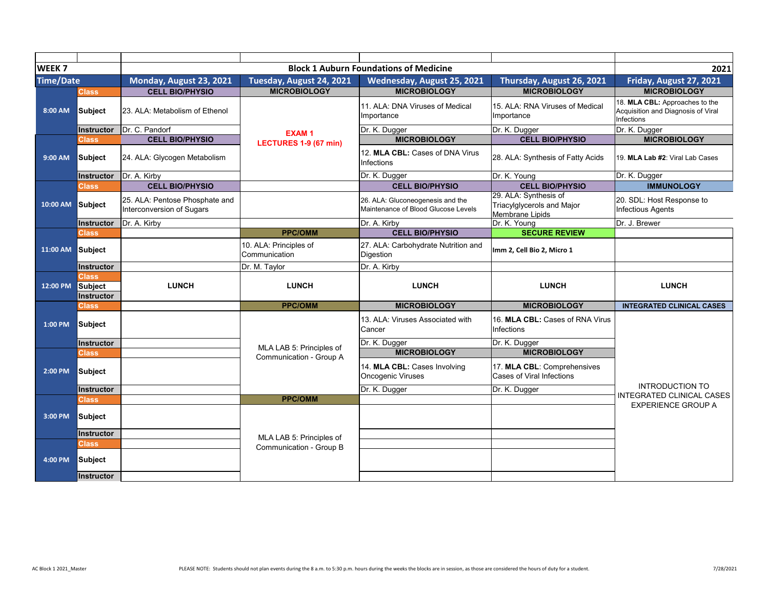| WEEK <sub>7</sub> |                                              |                                                             |                                         | <b>Block 1 Auburn Foundations of Medicine</b>                           |                                                                        | 2021                                                                               |
|-------------------|----------------------------------------------|-------------------------------------------------------------|-----------------------------------------|-------------------------------------------------------------------------|------------------------------------------------------------------------|------------------------------------------------------------------------------------|
| <b>Time/Date</b>  |                                              | Monday, August 23, 2021                                     | Tuesday, August 24, 2021                | Wednesday, August 25, 2021                                              | Thursday, August 26, 2021                                              | Friday, August 27, 2021                                                            |
|                   | Class                                        | <b>CELL BIO/PHYSIO</b>                                      | <b>MICROBIOLOGY</b>                     | <b>MICROBIOLOGY</b>                                                     | <b>MICROBIOLOGY</b>                                                    | <b>MICROBIOLOGY</b>                                                                |
| 8:00 AM           | <b>Subject</b>                               | 23. ALA: Metabolism of Ethenol                              | <b>EXAM1</b>                            | 11. ALA: DNA Viruses of Medical<br>Importance                           | 15. ALA: RNA Viruses of Medical<br>Importance                          | 18. MLA CBL: Approaches to the<br>Acquisition and Diagnosis of Viral<br>Infections |
|                   | <b>Instructor</b>                            | Dr. C. Pandorf                                              |                                         | Dr. K. Dugger                                                           | Dr. K. Dugger                                                          | Dr. K. Dugger                                                                      |
|                   | <b>Class</b>                                 | <b>CELL BIO/PHYSIO</b>                                      | LECTURES 1-9 (67 min)                   | <b>MICROBIOLOGY</b>                                                     | <b>CELL BIO/PHYSIO</b>                                                 | <b>MICROBIOLOGY</b>                                                                |
| 9:00 AM           | <b>Subject</b>                               | 24. ALA: Glycogen Metabolism                                |                                         | 12. MLA CBL: Cases of DNA Virus<br>Infections                           | 28. ALA: Synthesis of Fatty Acids                                      | 19. MLA Lab #2: Viral Lab Cases                                                    |
|                   | <b>Instructor</b>                            | Dr. A. Kirby                                                |                                         | Dr. K. Dugger                                                           | Dr. K. Young                                                           | Dr. K. Dugger                                                                      |
|                   | <b>Class</b>                                 | <b>CELL BIO/PHYSIO</b>                                      |                                         | <b>CELL BIO/PHYSIO</b>                                                  | <b>CELL BIO/PHYSIO</b>                                                 | <b>IMMUNOLOGY</b>                                                                  |
| 10:00 AM          | Subject                                      | 25. ALA: Pentose Phosphate and<br>Interconversion of Sugars |                                         | 26. ALA: Gluconeogenesis and the<br>Maintenance of Blood Glucose Levels | 29. ALA: Synthesis of<br>Triacylglycerols and Major<br>Membrane Lipids | 20. SDL: Host Response to<br><b>Infectious Agents</b>                              |
|                   | Instructor                                   | Dr. A. Kirby                                                |                                         | Dr. A. Kirby                                                            | Dr. K. Young                                                           | Dr. J. Brewer                                                                      |
|                   | <b>Class</b>                                 |                                                             | <b>PPC/OMM</b>                          | <b>CELL BIO/PHYSIO</b>                                                  | <b>SECURE REVIEW</b>                                                   |                                                                                    |
| 11:00 AM          | <b>Subject</b>                               |                                                             | 10. ALA: Principles of<br>Communication | 27. ALA: Carbohydrate Nutrition and<br>Digestion                        | Imm 2, Cell Bio 2, Micro 1                                             |                                                                                    |
|                   | <b>Instructor</b>                            |                                                             | Dr. M. Taylor                           | Dr. A. Kirby                                                            |                                                                        |                                                                                    |
| 12:00 PM          | <b>Class</b><br>Subject<br><b>Instructor</b> | <b>LUNCH</b>                                                | <b>LUNCH</b>                            | <b>LUNCH</b>                                                            | <b>LUNCH</b>                                                           | <b>LUNCH</b>                                                                       |
|                   | <b>Class</b>                                 |                                                             | <b>PPC/OMM</b>                          | <b>MICROBIOLOGY</b>                                                     | <b>MICROBIOLOGY</b>                                                    | <b>INTEGRATED CLINICAL CASES</b>                                                   |
| 1:00 PM           | <b>Subject</b>                               |                                                             |                                         | 13. ALA: Viruses Associated with<br>Cancer                              | 16. MLA CBL: Cases of RNA Virus<br>Infections                          |                                                                                    |
|                   | Instructor                                   |                                                             | MLA LAB 5: Principles of                | Dr. K. Dugger                                                           | Dr. K. Dugger                                                          |                                                                                    |
|                   | Class                                        |                                                             | Communication - Group A                 | <b>MICROBIOLOGY</b>                                                     | <b>MICROBIOLOGY</b>                                                    |                                                                                    |
| 2:00 PM           | <b>Subject</b>                               |                                                             |                                         | 14. MLA CBL: Cases Involving<br><b>Oncogenic Viruses</b>                | 17. MLA CBL: Comprehensives<br><b>Cases of Viral Infections</b>        |                                                                                    |
|                   | Instructor                                   |                                                             |                                         | Dr. K. Dugger                                                           | Dr. K. Dugger                                                          | <b>INTRODUCTION TO</b>                                                             |
|                   | <b>Class</b>                                 |                                                             | <b>PPC/OMM</b>                          |                                                                         |                                                                        | <b>INTEGRATED CLINICAL CASES</b><br><b>EXPERIENCE GROUP A</b>                      |
| 3:00 PM           | <b>Subject</b>                               |                                                             |                                         |                                                                         |                                                                        |                                                                                    |
|                   | Instructor                                   |                                                             | MLA LAB 5: Principles of                |                                                                         |                                                                        |                                                                                    |
|                   | <b>Class</b>                                 |                                                             | Communication - Group B                 |                                                                         |                                                                        |                                                                                    |
| 4:00 PM           | <b>Subject</b>                               |                                                             |                                         |                                                                         |                                                                        |                                                                                    |
|                   | Instructor                                   |                                                             |                                         |                                                                         |                                                                        |                                                                                    |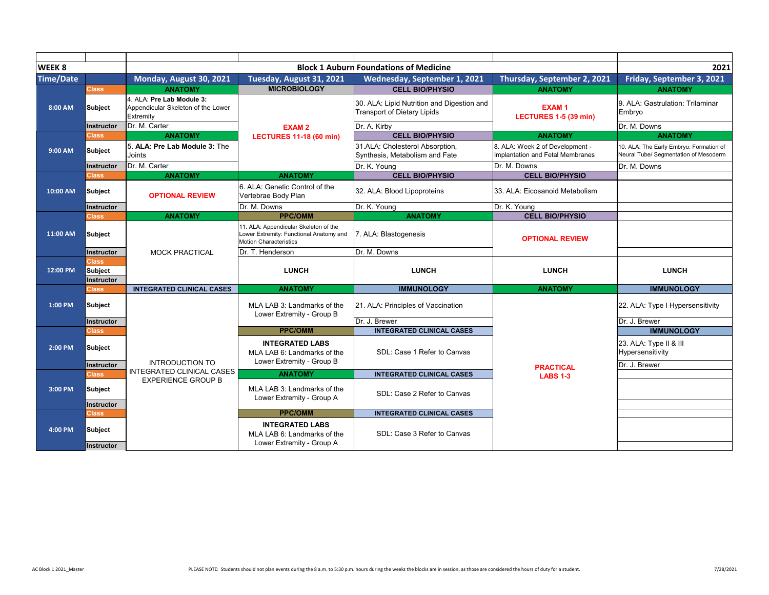| WEEK 8           |                                              |                                                                              |                                                                                                                   | <b>Block 1 Auburn Foundations of Medicine</b>                                    |                                                                     | 2021                                                                             |
|------------------|----------------------------------------------|------------------------------------------------------------------------------|-------------------------------------------------------------------------------------------------------------------|----------------------------------------------------------------------------------|---------------------------------------------------------------------|----------------------------------------------------------------------------------|
| <b>Time/Date</b> |                                              | Monday, August 30, 2021                                                      | Tuesday, August 31, 2021                                                                                          | Wednesday, September 1, 2021                                                     | Thursday, September 2, 2021                                         | Friday, September 3, 2021                                                        |
|                  | <b>Class</b>                                 | <b>ANATOMY</b>                                                               | <b>MICROBIOLOGY</b>                                                                                               | <b>CELL BIO/PHYSIO</b>                                                           | <b>ANATOMY</b>                                                      | <b>ANATOMY</b>                                                                   |
| 8:00 AM          | <b>Subject</b>                               | 4. ALA: Pre Lab Module 3:<br>Appendicular Skeleton of the Lower<br>Extremity | <b>EXAM2</b>                                                                                                      | 30. ALA: Lipid Nutrition and Digestion and<br><b>Transport of Dietary Lipids</b> | <b>EXAM1</b><br>LECTURES 1-5 (39 min)                               | 9. ALA: Gastrulation: Trilaminar<br>Embrvo                                       |
|                  | Instructor                                   | Dr. M. Carter                                                                |                                                                                                                   | Dr. A. Kirby                                                                     |                                                                     | Dr. M. Downs                                                                     |
|                  | <b>Class</b>                                 | <b>ANATOMY</b>                                                               | <b>LECTURES 11-18 (60 min)</b>                                                                                    | <b>CELL BIO/PHYSIO</b>                                                           | <b>ANATOMY</b>                                                      | <b>ANATOMY</b>                                                                   |
| 9:00 AM          | <b>Subject</b>                               | 5. ALA: Pre Lab Module 3: The<br>Joints                                      |                                                                                                                   | 31.ALA: Cholesterol Absorption.<br>Synthesis, Metabolism and Fate                | 8. ALA: Week 2 of Development -<br>Implantation and Fetal Membranes | 10. ALA: The Early Embryo: Formation of<br>Neural Tube/ Segmentation of Mesoderm |
|                  | <b>Instructor</b>                            | Dr. M. Carter                                                                |                                                                                                                   | Dr. K. Young                                                                     | Dr. M. Downs                                                        | Dr. M. Downs                                                                     |
|                  | <b>Class</b>                                 | <b>ANATOMY</b>                                                               | <b>ANATOMY</b>                                                                                                    | <b>CELL BIO/PHYSIO</b>                                                           | <b>CELL BIO/PHYSIO</b>                                              |                                                                                  |
| 10:00 AM         | Subject                                      | <b>OPTIONAL REVIEW</b>                                                       | 6. ALA: Genetic Control of the<br>Vertebrae Body Plan                                                             | 32. ALA: Blood Lipoproteins                                                      | 33. ALA: Eicosanoid Metabolism                                      |                                                                                  |
|                  | Instructor                                   |                                                                              | Dr. M. Downs                                                                                                      | Dr. K. Young                                                                     | Dr. K. Young                                                        |                                                                                  |
|                  | <b>Class</b>                                 | <b>ANATOMY</b>                                                               | <b>PPC/OMM</b>                                                                                                    | <b>ANATOMY</b>                                                                   | <b>CELL BIO/PHYSIO</b>                                              |                                                                                  |
| 11:00 AM         | <b>Subject</b>                               |                                                                              | 11. ALA: Appendicular Skeleton of the<br>Lower Extremity: Functional Anatomy and<br><b>Motion Characteristics</b> | 7. ALA: Blastogenesis                                                            | <b>OPTIONAL REVIEW</b>                                              |                                                                                  |
|                  | Instructor                                   | <b>MOCK PRACTICAL</b>                                                        | Dr. T. Henderson                                                                                                  | Dr. M. Downs                                                                     |                                                                     |                                                                                  |
| 12:00 PM         | <b>Class</b><br><b>Subject</b><br>Instructor |                                                                              | <b>LUNCH</b>                                                                                                      | <b>LUNCH</b>                                                                     | <b>LUNCH</b>                                                        | <b>LUNCH</b>                                                                     |
|                  | <b>Class</b>                                 | <b>INTEGRATED CLINICAL CASES</b>                                             | <b>ANATOMY</b>                                                                                                    | <b>IMMUNOLOGY</b>                                                                | <b>ANATOMY</b>                                                      | <b>IMMUNOLOGY</b>                                                                |
| 1:00 PM          | <b>Subject</b>                               |                                                                              | MLA LAB 3: Landmarks of the<br>Lower Extremity - Group B                                                          | 21. ALA: Principles of Vaccination                                               |                                                                     | 22. ALA: Type I Hypersensitivity                                                 |
|                  | Instructor                                   |                                                                              |                                                                                                                   | Dr. J. Brewer                                                                    |                                                                     | Dr. J. Brewer                                                                    |
|                  | <b>Class</b>                                 |                                                                              | <b>PPC/OMM</b>                                                                                                    | <b>INTEGRATED CLINICAL CASES</b>                                                 |                                                                     | <b>IMMUNOLOGY</b>                                                                |
| 2:00 PM          | <b>Subject</b>                               | <b>INTRODUCTION TO</b>                                                       | <b>INTEGRATED LABS</b><br>MLA LAB 6: Landmarks of the<br>Lower Extremity - Group B                                | SDL: Case 1 Refer to Canvas                                                      |                                                                     | 23. ALA: Type II & III<br>Hypersensitivity<br>Dr. J. Brewer                      |
|                  | Instructor<br>Class                          | <b>INTEGRATED CLINICAL CASES</b>                                             | <b>ANATOMY</b>                                                                                                    | <b>INTEGRATED CLINICAL CASES</b>                                                 | <b>PRACTICAL</b>                                                    |                                                                                  |
|                  |                                              | <b>EXPERIENCE GROUP B</b>                                                    |                                                                                                                   |                                                                                  | <b>LABS 1-3</b>                                                     |                                                                                  |
| 3:00 PM          | <b>Subject</b><br>Instructor                 |                                                                              | MLA LAB 3: Landmarks of the<br>Lower Extremity - Group A                                                          | SDL: Case 2 Refer to Canvas                                                      |                                                                     |                                                                                  |
|                  | <b>Class</b>                                 |                                                                              | <b>PPC/OMM</b>                                                                                                    | <b>INTEGRATED CLINICAL CASES</b>                                                 |                                                                     |                                                                                  |
| 4:00 PM          | <b>Subject</b><br><b>Instructor</b>          |                                                                              | <b>INTEGRATED LABS</b><br>MLA LAB 6: Landmarks of the<br>Lower Extremity - Group A                                | SDL: Case 3 Refer to Canvas                                                      |                                                                     |                                                                                  |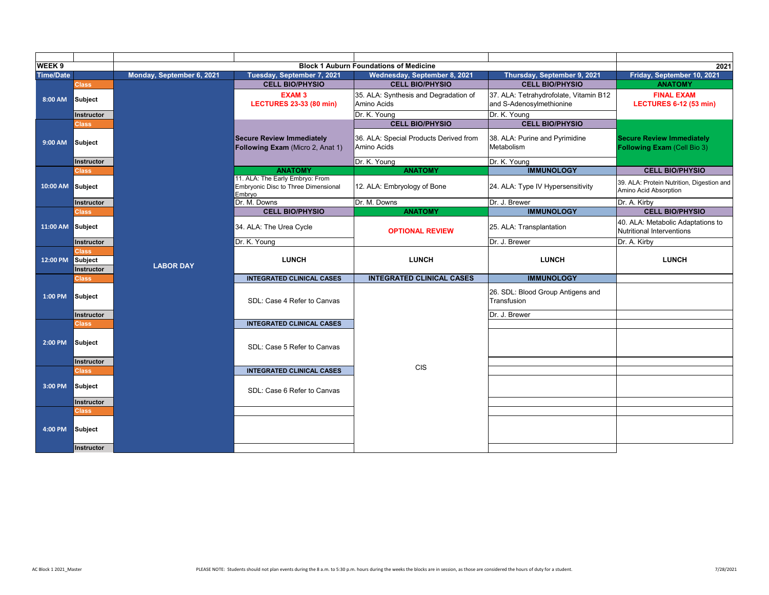| WEEK <sub>9</sub> |                                       |                           |                                                                                  | <b>Block 1 Auburn Foundations of Medicine</b>         |                                                                    | 2021                                                                  |
|-------------------|---------------------------------------|---------------------------|----------------------------------------------------------------------------------|-------------------------------------------------------|--------------------------------------------------------------------|-----------------------------------------------------------------------|
| <b>Time/Date</b>  |                                       | Monday, September 6, 2021 | Tuesday, September 7, 2021                                                       | Wednesday, September 8, 2021                          | Thursday, September 9, 2021                                        | Friday, September 10, 2021                                            |
|                   | <b>Class</b>                          |                           | <b>CELL BIO/PHYSIO</b>                                                           | <b>CELL BIO/PHYSIO</b>                                | <b>CELL BIO/PHYSIO</b>                                             | <b>ANATOMY</b>                                                        |
| 8:00 AM           | Subject                               |                           | <b>EXAM3</b><br><b>LECTURES 23-33 (80 min)</b>                                   | 35. ALA: Synthesis and Degradation of<br>Amino Acids  | 37. ALA: Tetrahydrofolate, Vitamin B12<br>and S-Adenosylmethionine | <b>FINAL EXAM</b><br><b>LECTURES 6-12 (53 min)</b>                    |
|                   | Instructor                            |                           |                                                                                  | Dr. K. Young                                          | Dr. K. Young                                                       |                                                                       |
|                   | <b>Class</b>                          |                           |                                                                                  | <b>CELL BIO/PHYSIO</b>                                | <b>CELL BIO/PHYSIO</b>                                             |                                                                       |
| 9:00 AM           | Subject                               |                           | <b>Secure Review Immediately</b><br>Following Exam (Micro 2, Anat 1)             | 36. ALA: Special Products Derived from<br>Amino Acids | 38. ALA: Purine and Pyrimidine<br>Metabolism                       | <b>Secure Review Immediately</b><br>Following Exam (Cell Bio 3)       |
|                   | <b>Instructor</b>                     |                           |                                                                                  | Dr. K. Young                                          | Dr. K. Young                                                       |                                                                       |
|                   | <b>Class</b>                          |                           | <b>ANATOMY</b>                                                                   | <b>ANATOMY</b>                                        | <b>IMMUNOLOGY</b>                                                  | <b>CELL BIO/PHYSIO</b>                                                |
| 10:00 AM Subject  |                                       |                           | 11. ALA: The Early Embryo: From<br>Embryonic Disc to Three Dimensional<br>Embryo | 12. ALA: Embryology of Bone                           | 24. ALA: Type IV Hypersensitivity                                  | 39. ALA: Protein Nutrition, Digestion and<br>Amino Acid Absorption    |
|                   | Instructor                            |                           | Dr. M. Downs                                                                     | Dr. M. Downs                                          | Dr. J. Brewer                                                      | Dr. A. Kirby                                                          |
|                   | <b>Class</b>                          |                           | <b>CELL BIO/PHYSIO</b>                                                           | <b>ANATOMY</b>                                        | <b>IMMUNOLOGY</b>                                                  | <b>CELL BIO/PHYSIO</b>                                                |
| 11:00 AM          | Subject                               |                           | 34. ALA: The Urea Cycle                                                          | <b>OPTIONAL REVIEW</b>                                | 25. ALA: Transplantation                                           | 40. ALA: Metabolic Adaptations to<br><b>Nutritional Interventions</b> |
|                   | Instructor                            |                           | Dr. K. Young                                                                     |                                                       | Dr. J. Brewer                                                      | Dr. A. Kirby                                                          |
| 12:00 PM          | <b>Class</b><br>Subject<br>Instructor | <b>LABOR DAY</b>          | <b>LUNCH</b>                                                                     | <b>LUNCH</b>                                          | <b>LUNCH</b>                                                       | <b>LUNCH</b>                                                          |
|                   | <b>Class</b>                          |                           | <b>INTEGRATED CLINICAL CASES</b>                                                 | <b>INTEGRATED CLINICAL CASES</b>                      | <b>IMMUNOLOGY</b>                                                  |                                                                       |
| 1:00 PM           | Subject                               |                           | SDL: Case 4 Refer to Canvas                                                      |                                                       | 26. SDL: Blood Group Antigens and<br>Transfusion                   |                                                                       |
|                   | Instructor                            |                           |                                                                                  |                                                       | Dr. J. Brewer                                                      |                                                                       |
|                   | <b>Class</b>                          |                           | <b>INTEGRATED CLINICAL CASES</b>                                                 |                                                       |                                                                    |                                                                       |
| 2:00 PM           | Subject                               |                           | SDL: Case 5 Refer to Canvas                                                      |                                                       |                                                                    |                                                                       |
|                   | <b>Instructor</b>                     |                           |                                                                                  | <b>CIS</b>                                            |                                                                    |                                                                       |
|                   | <b>Class</b>                          |                           | <b>INTEGRATED CLINICAL CASES</b>                                                 |                                                       |                                                                    |                                                                       |
| 3:00 PM           | <b>Subject</b>                        |                           | SDL: Case 6 Refer to Canvas                                                      |                                                       |                                                                    |                                                                       |
|                   | <b>Instructor</b>                     |                           |                                                                                  |                                                       |                                                                    |                                                                       |
|                   | <b>Class</b>                          |                           |                                                                                  |                                                       |                                                                    |                                                                       |
| 4:00 PM           | Subject                               |                           |                                                                                  |                                                       |                                                                    |                                                                       |
|                   | Instructor                            |                           |                                                                                  |                                                       |                                                                    |                                                                       |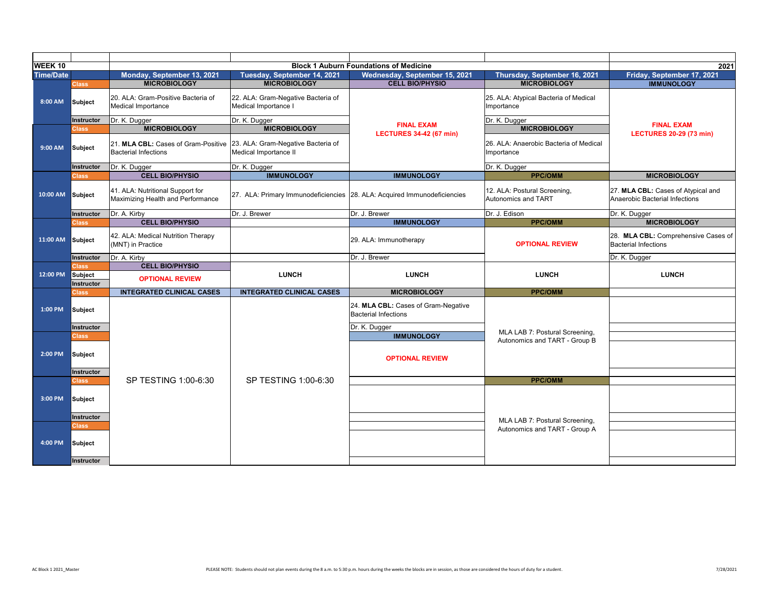| <b>WEEK 10</b>   |                                     |                                                                       |                                                                          |                                                                    |                                                      |                                                                      |
|------------------|-------------------------------------|-----------------------------------------------------------------------|--------------------------------------------------------------------------|--------------------------------------------------------------------|------------------------------------------------------|----------------------------------------------------------------------|
|                  |                                     |                                                                       |                                                                          | <b>Block 1 Auburn Foundations of Medicine</b>                      |                                                      | 2021                                                                 |
| <b>Time/Date</b> |                                     | Monday, September 13, 2021                                            | Tuesday, September 14, 2021                                              | Wednesday, September 15, 2021                                      | Thursday, September 16, 2021                         | Friday, September 17, 2021                                           |
|                  | <b>Class</b>                        | <b>MICROBIOLOGY</b>                                                   | <b>MICROBIOLOGY</b>                                                      | <b>CELL BIO/PHYSIO</b>                                             | <b>MICROBIOLOGY</b>                                  | <b>IMMUNOLOGY</b>                                                    |
| 8:00 AM          | <b>Subject</b>                      | 20. ALA: Gram-Positive Bacteria of<br>Medical Importance              | 22. ALA: Gram-Negative Bacteria of<br>Medical Importance I               |                                                                    | 25. ALA: Atypical Bacteria of Medical<br>Importance  |                                                                      |
|                  | Instructor                          | Dr. K. Dugger                                                         | Dr. K. Dugger                                                            |                                                                    | Dr. K. Dugger                                        |                                                                      |
|                  | Class                               | <b>MICROBIOLOGY</b>                                                   | <b>MICROBIOLOGY</b>                                                      | <b>FINAL EXAM</b>                                                  | <b>MICROBIOLOGY</b>                                  | <b>FINAL EXAM</b>                                                    |
| 9:00 AM          | <b>Subject</b>                      | 21. MLA CBL: Cases of Gram-Positive<br><b>Bacterial Infections</b>    | 23. ALA: Gram-Negative Bacteria of<br>Medical Importance II              | <b>LECTURES 34-42 (67 min)</b>                                     | 26. ALA: Anaerobic Bacteria of Medical<br>Importance | <b>LECTURES 20-29 (73 min)</b>                                       |
|                  | <b>Instructor</b>                   | Dr. K. Dugger                                                         | Dr. K. Dugger                                                            |                                                                    | Dr. K. Dugger                                        |                                                                      |
|                  | <b>Class</b>                        | <b>CELL BIO/PHYSIO</b>                                                | <b>IMMUNOLOGY</b>                                                        | <b>IMMUNOLOGY</b>                                                  | <b>PPC/OMM</b>                                       | <b>MICROBIOLOGY</b>                                                  |
| 10:00 AM         | Subject                             | 41. ALA: Nutritional Support for<br>Maximizing Health and Performance | 27. ALA: Primary Immunodeficiencies 28. ALA: Acquired Immunodeficiencies |                                                                    | 12. ALA: Postural Screening,<br>Autonomics and TART  | 27. MLA CBL: Cases of Atypical and<br>Anaerobic Bacterial Infections |
|                  | <b>Instructor</b>                   | Dr. A. Kirby                                                          | Dr. J. Brewer                                                            | Dr. J. Brewer                                                      | Dr. J. Edison                                        | Dr. K. Dugger                                                        |
|                  | <b>Class</b>                        | <b>CELL BIO/PHYSIO</b>                                                |                                                                          | <b>IMMUNOLOGY</b>                                                  | <b>PPC/OMM</b>                                       | <b>MICROBIOLOGY</b>                                                  |
| 11:00 AM         | <b>Subject</b>                      | 42. ALA: Medical Nutrition Therapy<br>(MNT) in Practice               |                                                                          | 29. ALA: Immunotherapy                                             | <b>OPTIONAL REVIEW</b>                               | 28. MLA CBL: Comprehensive Cases of<br><b>Bacterial Infections</b>   |
|                  | Instructor                          | Dr. A. Kirby                                                          |                                                                          | Dr. J. Brewer                                                      |                                                      | Dr. K. Dugger                                                        |
|                  | <b>Class</b>                        | <b>CELL BIO/PHYSIO</b>                                                |                                                                          |                                                                    |                                                      |                                                                      |
| 12:00 PM         | <b>Subject</b><br><b>Instructor</b> | <b>OPTIONAL REVIEW</b>                                                | <b>LUNCH</b>                                                             | <b>LUNCH</b>                                                       | <b>LUNCH</b>                                         | <b>LUNCH</b>                                                         |
|                  | Class                               | <b>INTEGRATED CLINICAL CASES</b>                                      | <b>INTEGRATED CLINICAL CASES</b>                                         | <b>MICROBIOLOGY</b>                                                | <b>PPC/OMM</b>                                       |                                                                      |
| 1:00 PM          | Subject                             |                                                                       |                                                                          | 24. MLA CBL: Cases of Gram-Negative<br><b>Bacterial Infections</b> |                                                      |                                                                      |
|                  | <b>Instructor</b>                   |                                                                       |                                                                          | Dr. K. Dugger                                                      | MLA LAB 7: Postural Screening,                       |                                                                      |
|                  | <b>Class</b>                        |                                                                       |                                                                          | <b>IMMUNOLOGY</b>                                                  | Autonomics and TART - Group B                        |                                                                      |
| 2:00 PM          | Subject<br>Instructor               |                                                                       |                                                                          | <b>OPTIONAL REVIEW</b>                                             |                                                      |                                                                      |
|                  | <b>Class</b>                        | SP TESTING 1:00-6:30                                                  | SP TESTING 1:00-6:30                                                     |                                                                    | <b>PPC/OMM</b>                                       |                                                                      |
| 3:00 PM          | Subject                             |                                                                       |                                                                          |                                                                    |                                                      |                                                                      |
|                  | Instructor                          |                                                                       |                                                                          |                                                                    | MLA LAB 7: Postural Screening,                       |                                                                      |
|                  | <b>Class</b>                        |                                                                       |                                                                          |                                                                    | Autonomics and TART - Group A                        |                                                                      |
| 4:00 PM          | <b>Subject</b>                      |                                                                       |                                                                          |                                                                    |                                                      |                                                                      |
|                  | Instructor                          |                                                                       |                                                                          |                                                                    |                                                      |                                                                      |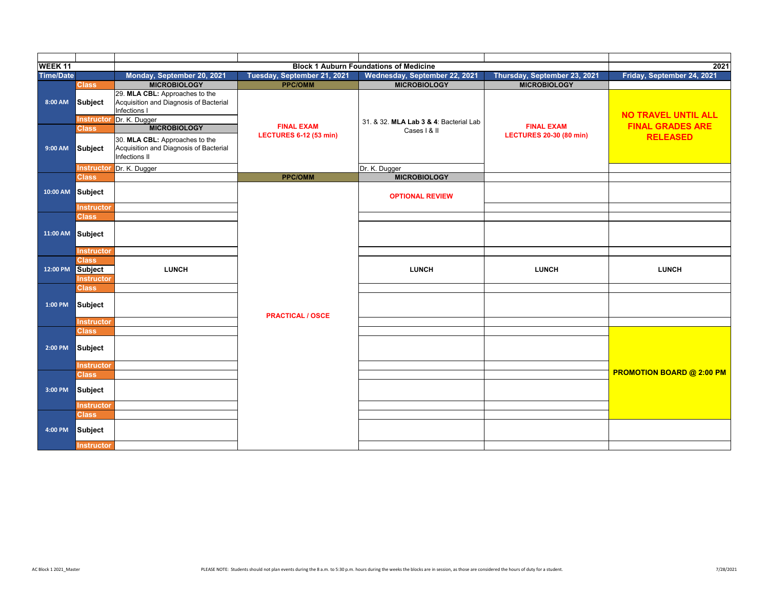| WEEK <sub>11</sub> |                                              |                                                                                           |                               | <b>Block 1 Auburn Foundations of Medicine</b> |                                | 2021                             |
|--------------------|----------------------------------------------|-------------------------------------------------------------------------------------------|-------------------------------|-----------------------------------------------|--------------------------------|----------------------------------|
| <b>Time/Date</b>   |                                              | Monday, September 20, 2021                                                                | Tuesday, September 21, 2021   | Wednesday, September 22, 2021                 | Thursday, September 23, 2021   | Friday, September 24, 2021       |
|                    | <b>Class</b>                                 | <b>MICROBIOLOGY</b>                                                                       | <b>PPC/OMM</b>                | <b>MICROBIOLOGY</b>                           | <b>MICROBIOLOGY</b>            |                                  |
| 8:00 AM            | Subject                                      | 29. MLA CBL: Approaches to the<br>Acquisition and Diagnosis of Bacterial<br>Infections I  |                               |                                               |                                | <b>NO TRAVEL UNTIL ALL</b>       |
|                    |                                              | Instructor Dr. K. Dugger                                                                  |                               | 31. & 32. MLA Lab 3 & 4: Bacterial Lab        |                                |                                  |
|                    | <b>Class</b>                                 | <b>MICROBIOLOGY</b>                                                                       | <b>FINAL EXAM</b>             | Cases   & II                                  | <b>FINAL EXAM</b>              | <b>FINAL GRADES ARE</b>          |
| 9:00 AM            | Subject                                      | 30. MLA CBL: Approaches to the<br>Acquisition and Diagnosis of Bacterial<br>Infections II | <b>LECTURES 6-12 (53 min)</b> |                                               | <b>LECTURES 20-30 (80 min)</b> | <b>RELEASED</b>                  |
|                    |                                              | Instructor Dr. K. Dugger                                                                  |                               | Dr. K. Dugger                                 |                                |                                  |
|                    | <b>Class</b>                                 |                                                                                           | <b>PPC/OMM</b>                | <b>MICROBIOLOGY</b>                           |                                |                                  |
| 10:00 AM           | Subject                                      |                                                                                           |                               | <b>OPTIONAL REVIEW</b>                        |                                |                                  |
|                    | <b>Instructor</b>                            |                                                                                           |                               |                                               |                                |                                  |
|                    | <b>Class</b>                                 |                                                                                           |                               |                                               |                                |                                  |
| 11:00 AM Subject   |                                              |                                                                                           |                               |                                               |                                |                                  |
|                    | <b>Instructor</b>                            |                                                                                           |                               |                                               |                                |                                  |
| 12:00 PM           | <b>Class</b><br>Subject<br><b>Instructor</b> | <b>LUNCH</b>                                                                              |                               | <b>LUNCH</b>                                  | <b>LUNCH</b>                   | <b>LUNCH</b>                     |
|                    | <b>Class</b>                                 |                                                                                           |                               |                                               |                                |                                  |
| 1:00 PM            | Subject                                      |                                                                                           | <b>PRACTICAL / OSCE</b>       |                                               |                                |                                  |
|                    | <b>Instructor</b>                            |                                                                                           |                               |                                               |                                |                                  |
|                    | <b>Class</b>                                 |                                                                                           |                               |                                               |                                |                                  |
| 2:00 PM            | Subject                                      |                                                                                           |                               |                                               |                                |                                  |
|                    | Instructor                                   |                                                                                           |                               |                                               |                                |                                  |
|                    | <b>Class</b>                                 |                                                                                           |                               |                                               |                                | <b>PROMOTION BOARD @ 2:00 PM</b> |
| 3:00 PM            | Subject                                      |                                                                                           |                               |                                               |                                |                                  |
|                    | Instructor                                   |                                                                                           |                               |                                               |                                |                                  |
|                    | <b>Class</b>                                 |                                                                                           |                               |                                               |                                |                                  |
| 4:00 PM            | Subject                                      |                                                                                           |                               |                                               |                                |                                  |
|                    | <b>Instructor</b>                            |                                                                                           |                               |                                               |                                |                                  |